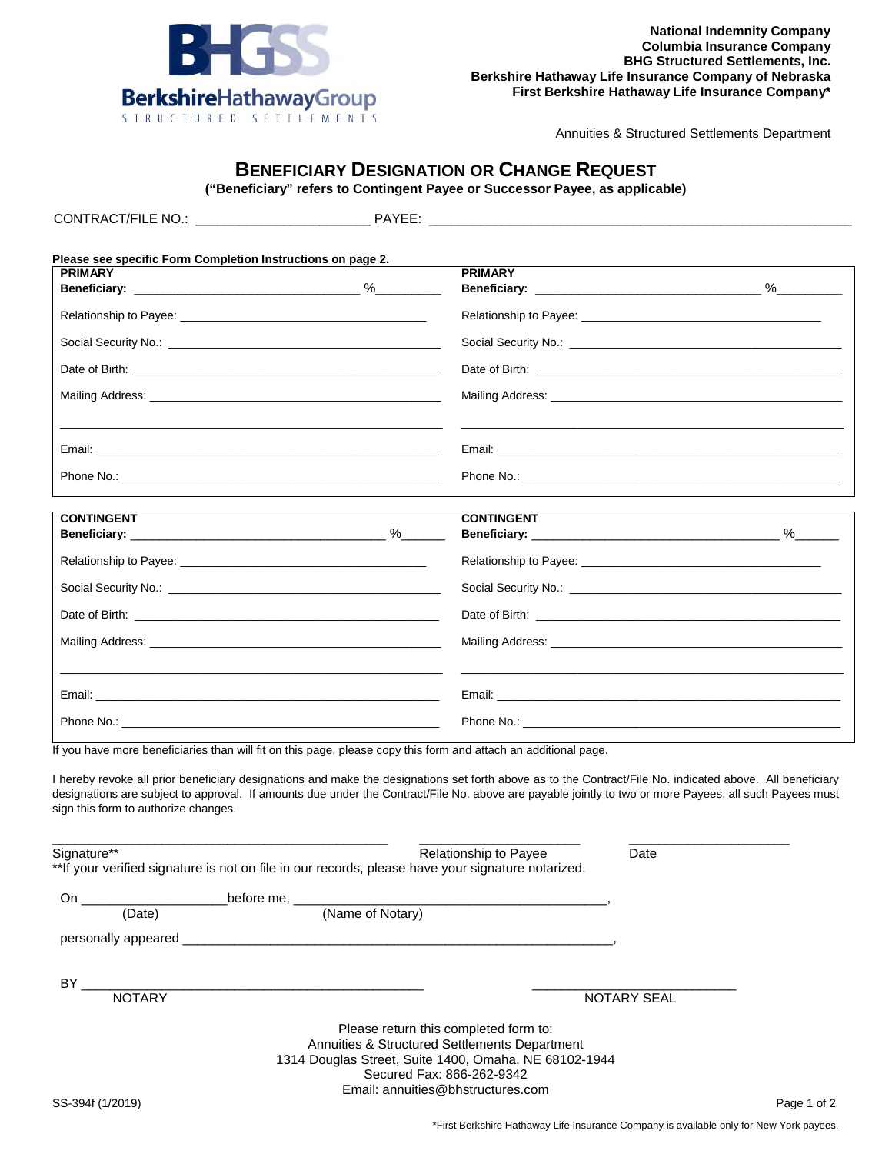

Annuities & Structured Settlements Department

## **BENEFICIARY DESIGNATION OR CHANGE REQUEST**

**("Beneficiary" refers to Contingent Payee or Successor Payee, as applicable)** 

| CONTRACT/FILE NO.: CONTRACT/FILE NO.:                                                                             | PAYEE: ___________________                                                                                                                                                                                                                                                                                          |
|-------------------------------------------------------------------------------------------------------------------|---------------------------------------------------------------------------------------------------------------------------------------------------------------------------------------------------------------------------------------------------------------------------------------------------------------------|
|                                                                                                                   |                                                                                                                                                                                                                                                                                                                     |
| Please see specific Form Completion Instructions on page 2.                                                       |                                                                                                                                                                                                                                                                                                                     |
| <b>PRIMARY</b>                                                                                                    | <b>PRIMARY</b>                                                                                                                                                                                                                                                                                                      |
|                                                                                                                   | Relationship to Payee: Management of the Contract of the Contract of the Contract of the Contract of the Contract of the Contract of the Contract of the Contract of the Contract of the Contract of the Contract of the Contr                                                                                      |
|                                                                                                                   |                                                                                                                                                                                                                                                                                                                     |
|                                                                                                                   |                                                                                                                                                                                                                                                                                                                     |
|                                                                                                                   |                                                                                                                                                                                                                                                                                                                     |
|                                                                                                                   |                                                                                                                                                                                                                                                                                                                     |
|                                                                                                                   |                                                                                                                                                                                                                                                                                                                     |
| <b>CONTINGENT</b>                                                                                                 | <b>CONTINGENT</b>                                                                                                                                                                                                                                                                                                   |
|                                                                                                                   |                                                                                                                                                                                                                                                                                                                     |
|                                                                                                                   |                                                                                                                                                                                                                                                                                                                     |
|                                                                                                                   |                                                                                                                                                                                                                                                                                                                     |
|                                                                                                                   |                                                                                                                                                                                                                                                                                                                     |
|                                                                                                                   |                                                                                                                                                                                                                                                                                                                     |
|                                                                                                                   |                                                                                                                                                                                                                                                                                                                     |
|                                                                                                                   |                                                                                                                                                                                                                                                                                                                     |
| If you have more beneficiaries than will fit on this page, please copy this form and attach an additional page.   |                                                                                                                                                                                                                                                                                                                     |
| sign this form to authorize changes.                                                                              | I hereby revoke all prior beneficiary designations and make the designations set forth above as to the Contract/File No. indicated above. All beneficiary<br>designations are subject to approval. If amounts due under the Contract/File No. above are payable jointly to two or more Payees, all such Payees must |
| Signature**<br>** If your verified signature is not on file in our records, please have your signature notarized. | Relationship to Payee<br>Date                                                                                                                                                                                                                                                                                       |
|                                                                                                                   |                                                                                                                                                                                                                                                                                                                     |
|                                                                                                                   |                                                                                                                                                                                                                                                                                                                     |
|                                                                                                                   |                                                                                                                                                                                                                                                                                                                     |
|                                                                                                                   | NOTARY SEAL                                                                                                                                                                                                                                                                                                         |
|                                                                                                                   | Please return this completed form to:<br>Annuities & Structured Settlements Department<br>1314 Douglas Street, Suite 1400, Omaha, NE 68102-1944<br>Secured Fax: 866-262-9342<br>Email: annuities@bhstructures.com                                                                                                   |